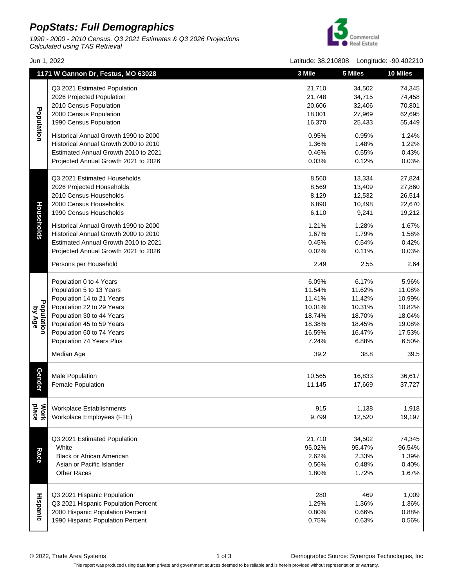## **PopStats: Full Demographics**

1990 - 2000 - 2010 Census, Q3 2021 Estimates & Q3 2026 Projections Calculated using TAS Retrieval



Jun 1, 2022 Latitude: 38.210808 Longitude: -90.402210

|                      | 1171 W Gannon Dr, Festus, MO 63028    | 3 Mile | 5 Miles        | 10 Miles |
|----------------------|---------------------------------------|--------|----------------|----------|
|                      | Q3 2021 Estimated Population          | 21,710 | 34,502         | 74,345   |
|                      | 2026 Projected Population             | 21,748 | 34,715         | 74,458   |
|                      | 2010 Census Population                | 20,606 | 32,406         | 70,801   |
|                      | 2000 Census Population                | 18,001 | 27,969         | 62,695   |
| Population           | 1990 Census Population                |        |                | 55,449   |
|                      |                                       | 16,370 | 25,433         |          |
|                      | Historical Annual Growth 1990 to 2000 | 0.95%  | 0.95%          | 1.24%    |
|                      | Historical Annual Growth 2000 to 2010 | 1.36%  | 1.48%          | 1.22%    |
|                      | Estimated Annual Growth 2010 to 2021  | 0.46%  | 0.55%          | 0.43%    |
|                      | Projected Annual Growth 2021 to 2026  | 0.03%  | 0.12%          | 0.03%    |
|                      | Q3 2021 Estimated Households          | 8,560  | 13,334         | 27,824   |
|                      | 2026 Projected Households             | 8,569  | 13,409         | 27,860   |
|                      | 2010 Census Households                | 8,129  | 12,532         | 26,514   |
|                      | 2000 Census Households                | 6,890  | 10,498         | 22,670   |
|                      | 1990 Census Households                | 6,110  | 9,241          | 19,212   |
| Households           |                                       |        |                |          |
|                      | Historical Annual Growth 1990 to 2000 | 1.21%  | 1.28%          | 1.67%    |
|                      | Historical Annual Growth 2000 to 2010 | 1.67%  | 1.79%<br>0.54% | 1.58%    |
|                      | Estimated Annual Growth 2010 to 2021  | 0.45%  |                | 0.42%    |
|                      | Projected Annual Growth 2021 to 2026  | 0.02%  | 0.11%          | 0.03%    |
|                      | Persons per Household                 | 2.49   | 2.55           | 2.64     |
|                      | Population 0 to 4 Years               | 6.09%  | 6.17%          | 5.96%    |
|                      | Population 5 to 13 Years              | 11.54% | 11.62%         | 11.08%   |
|                      | Population 14 to 21 Years             | 11.41% | 11.42%         | 10.99%   |
| Population<br>by Age | Population 22 to 29 Years             | 10.01% | 10.31%         | 10.82%   |
|                      | Population 30 to 44 Years             | 18.74% | 18.70%         | 18.04%   |
|                      | Population 45 to 59 Years             | 18.38% | 18.45%         | 19.08%   |
|                      | Population 60 to 74 Years             | 16.59% | 16.47%         | 17.53%   |
|                      | Population 74 Years Plus              | 7.24%  | 6.88%          | 6.50%    |
|                      | Median Age                            | 39.2   | 38.8           | 39.5     |
|                      |                                       |        |                |          |
| Gender               | <b>Male Population</b>                | 10,565 | 16,833         | 36,617   |
|                      | <b>Female Population</b>              | 11,145 | 17,669         | 37,727   |
|                      |                                       |        |                |          |
|                      | <b>Workplace Establishments</b>       | 915    | 1,138          | 1,918    |
| place<br><b>Mork</b> | Workplace Employees (FTE)             | 9,799  | 12,520         | 19,197   |
|                      |                                       |        |                |          |
|                      | Q3 2021 Estimated Population          | 21,710 | 34,502         | 74,345   |
|                      | White                                 | 95.02% | 95.47%         | 96.54%   |
| Race                 | <b>Black or African American</b>      | 2.62%  | 2.33%          | 1.39%    |
|                      | Asian or Pacific Islander             | 0.56%  | 0.48%          | 0.40%    |
|                      | <b>Other Races</b>                    | 1.80%  | 1.72%          | 1.67%    |
| Hispanic             |                                       |        |                |          |
|                      | Q3 2021 Hispanic Population           | 280    | 469            | 1,009    |
|                      | Q3 2021 Hispanic Population Percent   | 1.29%  | 1.36%          | 1.36%    |
|                      | 2000 Hispanic Population Percent      | 0.80%  | 0.66%          | 0.88%    |
|                      | 1990 Hispanic Population Percent      | 0.75%  | 0.63%          | 0.56%    |

This report was produced using data from private and government sources deemed to be reliable and is herein provided without representation or warranty.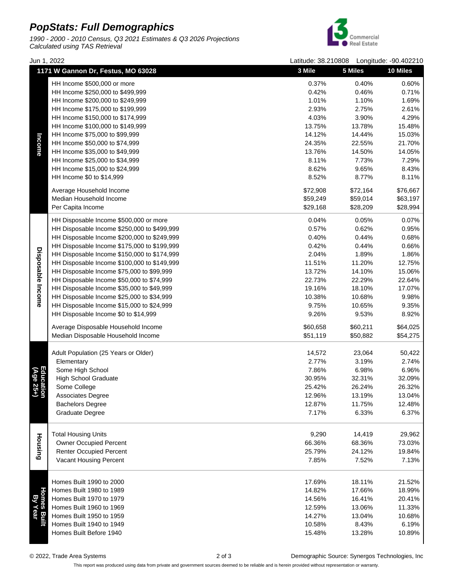## **PopStats: Full Demographics**

1990 - 2000 - 2010 Census, Q3 2021 Estimates & Q3 2026 Projections Calculated using TAS Retrieval



|                              | 1171 W Gannon Dr, Festus, MO 63028                   | 3 Mile   | 5 Miles  | <b>10 Miles</b> |
|------------------------------|------------------------------------------------------|----------|----------|-----------------|
|                              | HH Income \$500,000 or more                          | 0.37%    | 0.40%    | 0.60%           |
|                              | HH Income \$250,000 to \$499,999                     | 0.42%    | 0.46%    | 0.71%           |
|                              | HH Income \$200,000 to \$249,999                     | 1.01%    | 1.10%    | 1.69%           |
|                              | HH Income \$175,000 to \$199,999                     | 2.93%    | 2.75%    | 2.61%           |
|                              | HH Income \$150,000 to \$174,999                     | 4.03%    | 3.90%    | 4.29%           |
|                              | HH Income \$100,000 to \$149,999                     | 13.75%   | 13.78%   | 15.48%          |
|                              | HH Income \$75,000 to \$99,999                       | 14.12%   | 14.44%   | 15.03%          |
|                              | HH Income \$50,000 to \$74,999                       | 24.35%   | 22.55%   | 21.70%          |
| Income                       | HH Income \$35,000 to \$49,999                       | 13.76%   | 14.50%   | 14.05%          |
|                              | HH Income \$25,000 to \$34,999                       | 8.11%    | 7.73%    | 7.29%           |
|                              | HH Income \$15,000 to \$24,999                       | 8.62%    | 9.65%    | 8.43%           |
|                              | HH Income \$0 to \$14,999                            | 8.52%    | 8.77%    | 8.11%           |
|                              | Average Household Income                             | \$72,908 | \$72,164 | \$76,667        |
|                              | Median Household Income                              | \$59,249 | \$59,014 | \$63,197        |
|                              | Per Capita Income                                    | \$29,168 | \$28,209 | \$28,994        |
|                              | HH Disposable Income \$500,000 or more               | 0.04%    | 0.05%    | 0.07%           |
|                              | HH Disposable Income \$250,000 to \$499,999          | 0.57%    | 0.62%    | 0.95%           |
|                              | HH Disposable Income \$200,000 to \$249,999          | 0.40%    | 0.44%    | 0.68%           |
|                              | HH Disposable Income \$175,000 to \$199,999          | 0.42%    | 0.44%    | 0.66%           |
|                              | HH Disposable Income \$150,000 to \$174,999          | 2.04%    | 1.89%    | 1.86%           |
|                              | HH Disposable Income \$100,000 to \$149,999          | 11.51%   | 11.20%   | 12.75%          |
| Disposable Income            | HH Disposable Income \$75,000 to \$99,999            | 13.72%   | 14.10%   | 15.06%          |
|                              | HH Disposable Income \$50,000 to \$74,999            | 22.73%   | 22.29%   | 22.64%          |
|                              | HH Disposable Income \$35,000 to \$49,999            | 19.16%   | 18.10%   | 17.07%          |
|                              | HH Disposable Income \$25,000 to \$34,999            | 10.38%   | 10.68%   | 9.98%           |
|                              | HH Disposable Income \$15,000 to \$24,999            | 9.75%    | 10.65%   | 9.35%           |
|                              | HH Disposable Income \$0 to \$14,999                 | 9.26%    | 9.53%    | 8.92%           |
|                              | Average Disposable Household Income                  | \$60,658 | \$60,211 | \$64,025        |
|                              | Median Disposable Household Income                   | \$51,119 | \$50,882 | \$54,275        |
|                              |                                                      |          |          |                 |
|                              | Adult Population (25 Years or Older)                 | 14,572   | 23,064   | 50,422          |
|                              | Elementary                                           | 2.77%    | 3.19%    | 2.74%           |
|                              | Some High School                                     | 7.86%    | 6.98%    | 6.96%           |
|                              | <b>High School Graduate</b>                          | 30.95%   | 32.31%   | 32.09%          |
| Education<br>(Age 25+)       | Some College                                         | 25.42%   | 26.24%   | 26.32%          |
|                              | Associates Degree                                    | 12.96%   | 13.19%   | 13.04%          |
|                              | <b>Bachelors Degree</b>                              | 12.87%   | 11.75%   | 12.48%          |
|                              | <b>Graduate Degree</b>                               | 7.17%    | 6.33%    | 6.37%           |
|                              |                                                      |          |          |                 |
|                              | <b>Total Housing Units</b>                           | 9,290    | 14,419   | 29,962          |
| Housing                      | <b>Owner Occupied Percent</b>                        | 66.36%   | 68.36%   | 73.03%          |
|                              | <b>Renter Occupied Percent</b>                       | 25.79%   | 24.12%   | 19.84%          |
|                              | Vacant Housing Percent                               | 7.85%    | 7.52%    | 7.13%           |
| Homes Bui<br>By Year<br>Year |                                                      |          |          |                 |
|                              | Homes Built 1990 to 2000<br>Homes Built 1980 to 1989 | 17.69%   | 18.11%   | 21.52%          |
|                              | Homes Built 1970 to 1979                             | 14.82%   | 17.66%   | 18.99%          |
|                              | Homes Built 1960 to 1969                             | 14.56%   | 16.41%   | 20.41%          |
|                              |                                                      | 12.59%   | 13.06%   | 11.33%          |
|                              | Homes Built 1950 to 1959                             | 14.27%   | 13.04%   | 10.68%          |
|                              | Homes Built 1940 to 1949                             | 10.58%   | 8.43%    | 6.19%           |
|                              | Homes Built Before 1940                              | 15.48%   | 13.28%   | 10.89%          |

Jun 1, 2022 Latitude: 38.210808 Longitude: -90.402210

© 2022, Trade Area Systems 2 of 3 Demographic Source: Synergos Technologies, Inc

This report was produced using data from private and government sources deemed to be reliable and is herein provided without representation or warranty.